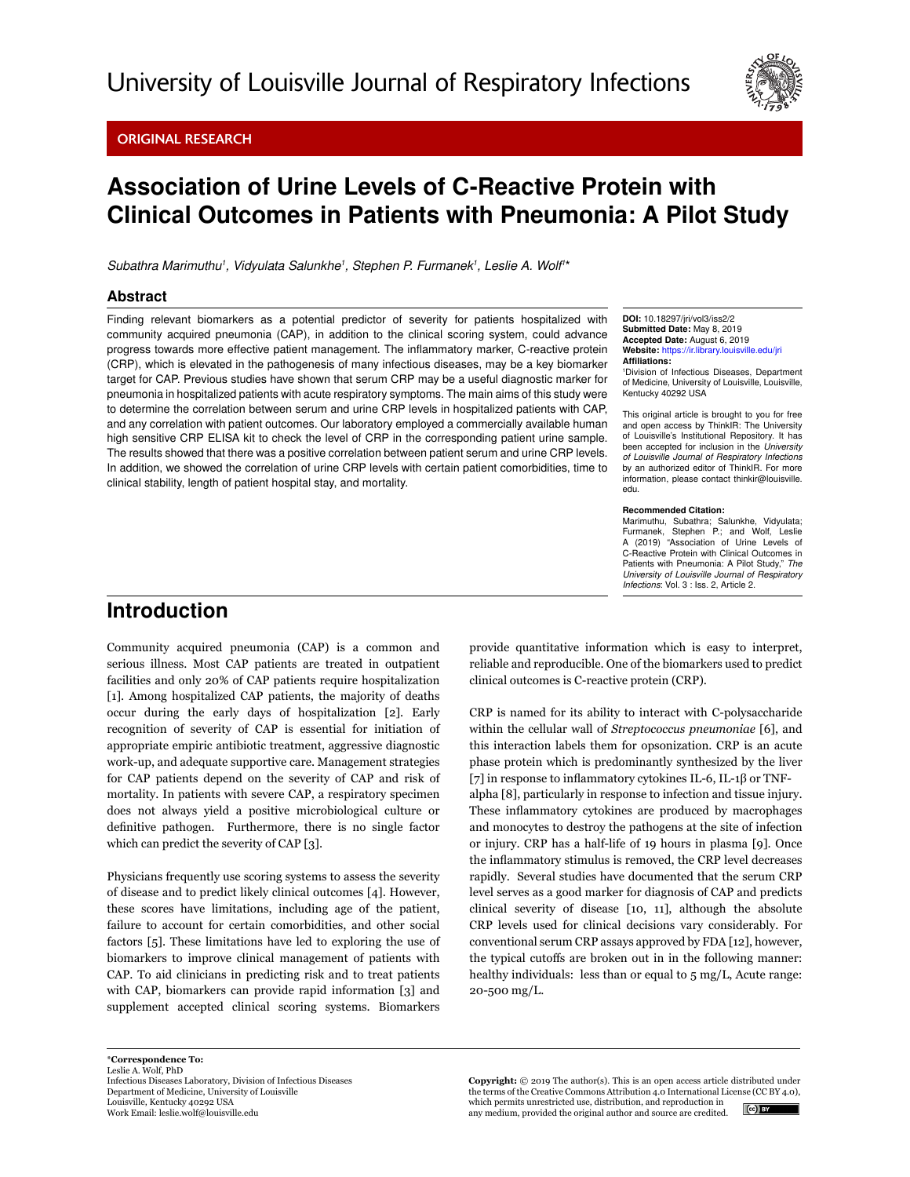Original Research



# Association of Urine Levels of C-Reactive Protein with Clinical Outcomes in Patients with Pneumonia: A Pilot Study

Subathra Marimuthu<sup>1</sup>, Vidyulata Salunkhe<sup>1</sup>, Stephen P. Furmanek<sup>1</sup>, Leslie A. Wolf<sup>1\*</sup>

#### Abstract

Finding relevant biomarkers as a potential predictor of severity for patients hospitalized with community acquired pneumonia (CAP), in addition to the clinical scoring system, could advance progress towards more effective patient management. The inflammatory marker, C-reactive protein (CRP), which is elevated in the pathogenesis of many infectious diseases, may be a key biomarker target for CAP. Previous studies have shown that serum CRP may be a useful diagnostic marker for pneumonia in hospitalized patients with acute respiratory symptoms. The main aims of this study were to determine the correlation between serum and urine CRP levels in hospitalized patients with CAP, and any correlation with patient outcomes. Our laboratory employed a commercially available human high sensitive CRP ELISA kit to check the level of CRP in the corresponding patient urine sample. The results showed that there was a positive correlation between patient serum and urine CRP levels. In addition, we showed the correlation of urine CRP levels with certain patient comorbidities, time to clinical stability, length of patient hospital stay, and mortality.

DOI: 10.18297/jri/vol3/iss2/2 Submitted Date: May 8, 2019 Accepted Date: August 6, 2019 Website: <https://ir.library.louisville.edu/jri> Affiliations:

1 Division of Infectious Diseases, Department of Medicine, University of Louisville, Louisville, Kentucky 40292 USA

This original article is brought to you for free and open access by ThinkIR: The University of Louisville's Institutional Repository. It has been accepted for inclusion in the *University of Louisville Journal of Respiratory Infections* by an authorized editor of ThinkIR. For more information, please contact thinkir@louisville. edu.

#### Recommended Citation:

Marimuthu, Subathra; Salunkhe, Vidyulata; Furmanek, Stephen P.; and Wolf, Leslie A (2019) "Association of Urine Levels of C-Reactive Protein with Clinical Outcomes in Patients with Pneumonia: A Pilot Study," *The University of Louisville Journal of Respiratory Infections*: Vol. 3 : Iss. 2, Article 2.

## Introduction

Community acquired pneumonia (CAP) is a common and serious illness. Most CAP patients are treated in outpatient facilities and only 20% of CAP patients require hospitalization [1]. Among hospitalized CAP patients, the majority of deaths occur during the early days of hospitalization [2]. Early recognition of severity of CAP is essential for initiation of appropriate empiric antibiotic treatment, aggressive diagnostic work-up, and adequate supportive care. Management strategies for CAP patients depend on the severity of CAP and risk of mortality. In patients with severe CAP, a respiratory specimen does not always yield a positive microbiological culture or definitive pathogen. Furthermore, there is no single factor which can predict the severity of CAP [3].

Physicians frequently use scoring systems to assess the severity of disease and to predict likely clinical outcomes [4]. However, these scores have limitations, including age of the patient, failure to account for certain comorbidities, and other social factors [5]. These limitations have led to exploring the use of biomarkers to improve clinical management of patients with CAP. To aid clinicians in predicting risk and to treat patients with CAP, biomarkers can provide rapid information [3] and supplement accepted clinical scoring systems. Biomarkers provide quantitative information which is easy to interpret, reliable and reproducible. One of the biomarkers used to predict clinical outcomes is C-reactive protein (CRP).

CRP is named for its ability to interact with C-polysaccharide within the cellular wall of *Streptococcus pneumoniae* [6], and this interaction labels them for opsonization. CRP is an acute phase protein which is predominantly synthesized by the liver [7] in response to inflammatory cytokines IL-6, IL-1β or TNFalpha [8], particularly in response to infection and tissue injury.

These inflammatory cytokines are produced by macrophages and monocytes to destroy the pathogens at the site of infection or injury. CRP has a half-life of 19 hours in plasma [9]. Once the inflammatory stimulus is removed, the CRP level decreases rapidly. Several studies have documented that the serum CRP level serves as a good marker for diagnosis of CAP and predicts clinical severity of disease [10, 11], although the absolute CRP levels used for clinical decisions vary considerably. For conventional serum CRP assays approved by FDA [12], however, the typical cutoffs are broken out in in the following manner: healthy individuals: less than or equal to 5 mg/L, Acute range: 20-500 mg/L.

**Copyright:** © 2019 The author(s). This is an open access article distributed under the terms of the Creative Commons Attribution 4.0 International License (CC BY 4.0), which permits unrestricted use, distribution, and reproduction in  $(c)$  BY any medium, provided the original author and source are credited.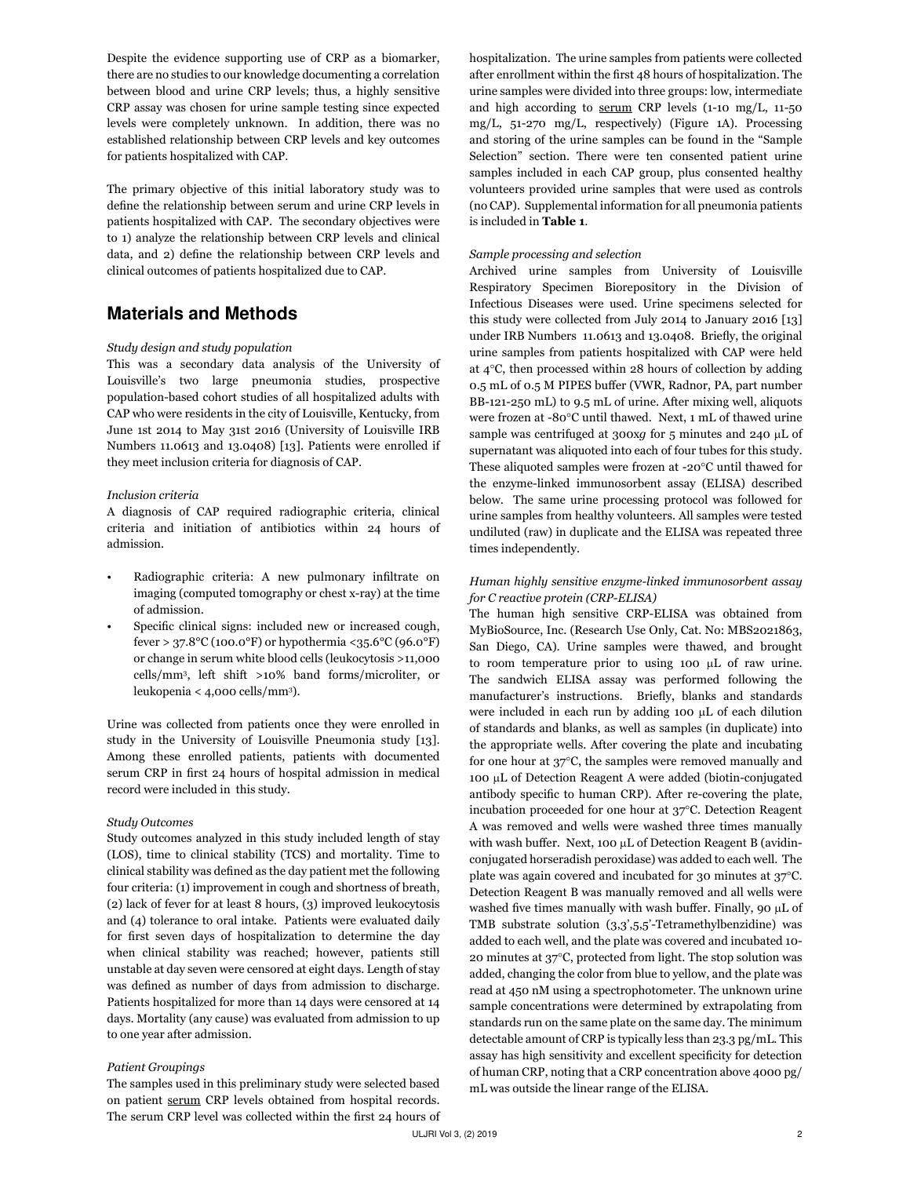Despite the evidence supporting use of CRP as a biomarker, there are no studies to our knowledge documenting a correlation between blood and urine CRP levels; thus, a highly sensitive CRP assay was chosen for urine sample testing since expected levels were completely unknown. In addition, there was no established relationship between CRP levels and key outcomes for patients hospitalized with CAP.

The primary objective of this initial laboratory study was to define the relationship between serum and urine CRP levels in patients hospitalized with CAP. The secondary objectives were to 1) analyze the relationship between CRP levels and clinical data, and 2) define the relationship between CRP levels and clinical outcomes of patients hospitalized due to CAP.

### Materials and Methods

#### *Study design and study population*

This was a secondary data analysis of the University of Louisville's two large pneumonia studies, prospective population-based cohort studies of all hospitalized adults with CAP who were residents in the city of Louisville, Kentucky, from June 1st 2014 to May 31st 2016 (University of Louisville IRB Numbers 11.0613 and 13.0408) [13]. Patients were enrolled if they meet inclusion criteria for diagnosis of CAP.

#### *Inclusion criteria*

A diagnosis of CAP required radiographic criteria, clinical criteria and initiation of antibiotics within 24 hours of admission.

- Radiographic criteria: A new pulmonary infiltrate on imaging (computed tomography or chest x-ray) at the time of admission.
- Specific clinical signs: included new or increased cough, fever > 37.8°C (100.0°F) or hypothermia <35.6°C (96.0°F) or change in serum white blood cells (leukocytosis >11,000 cells/mm<sup>3</sup> , left shift >10% band forms/microliter, or leukopenia < 4,000 cells/mm<sup>3</sup> ).

Urine was collected from patients once they were enrolled in study in the University of Louisville Pneumonia study [13]. Among these enrolled patients, patients with documented serum CRP in first 24 hours of hospital admission in medical record were included in this study.

#### *Study Outcomes*

Study outcomes analyzed in this study included length of stay (LOS), time to clinical stability (TCS) and mortality. Time to clinical stability was defined as the day patient met the following four criteria: (1) improvement in cough and shortness of breath, (2) lack of fever for at least 8 hours, (3) improved leukocytosis and (4) tolerance to oral intake. Patients were evaluated daily for first seven days of hospitalization to determine the day when clinical stability was reached; however, patients still unstable at day seven were censored at eight days. Length of stay was defined as number of days from admission to discharge. Patients hospitalized for more than 14 days were censored at 14 days. Mortality (any cause) was evaluated from admission to up to one year after admission.

#### *Patient Groupings*

The samples used in this preliminary study were selected based on patient serum CRP levels obtained from hospital records. The serum CRP level was collected within the first 24 hours of hospitalization. The urine samples from patients were collected after enrollment within the first 48 hours of hospitalization. The urine samples were divided into three groups: low, intermediate and high according to serum CRP levels (1-10 mg/L, 11-50 mg/L, 51-270 mg/L, respectively) (Figure 1A). Processing and storing of the urine samples can be found in the "Sample Selection" section. There were ten consented patient urine samples included in each CAP group, plus consented healthy volunteers provided urine samples that were used as controls (no CAP). Supplemental information for all pneumonia patients is included in **Table 1**.

#### *Sample processing and selection*

Archived urine samples from University of Louisville Respiratory Specimen Biorepository in the Division of Infectious Diseases were used. Urine specimens selected for this study were collected from July 2014 to January 2016 [13] under IRB Numbers 11.0613 and 13.0408. Briefly, the original urine samples from patients hospitalized with CAP were held at 4°C, then processed within 28 hours of collection by adding 0.5 mL of 0.5 M PIPES buffer (VWR, Radnor, PA, part number BB-121-250 mL) to 9.5 mL of urine. After mixing well, aliquots were frozen at -80°C until thawed. Next, 1 mL of thawed urine sample was centrifuged at 300xg for 5 minutes and 240 µL of supernatant was aliquoted into each of four tubes for this study. These aliquoted samples were frozen at -20°C until thawed for the enzyme-linked immunosorbent assay (ELISA) described below. The same urine processing protocol was followed for urine samples from healthy volunteers. All samples were tested undiluted (raw) in duplicate and the ELISA was repeated three times independently.

#### *Human highly sensitive enzyme-linked immunosorbent assay for C reactive protein (CRP-ELISA)*

The human high sensitive CRP-ELISA was obtained from MyBioSource, Inc. (Research Use Only, Cat. No: MBS2021863, San Diego, CA). Urine samples were thawed, and brought to room temperature prior to using 100 µL of raw urine. The sandwich ELISA assay was performed following the manufacturer's instructions. Briefly, blanks and standards were included in each run by adding 100 µL of each dilution of standards and blanks, as well as samples (in duplicate) into the appropriate wells. After covering the plate and incubating for one hour at 37°C, the samples were removed manually and 100 µL of Detection Reagent A were added (biotin-conjugated antibody specific to human CRP). After re-covering the plate, incubation proceeded for one hour at 37°C. Detection Reagent A was removed and wells were washed three times manually with wash buffer. Next, 100 µL of Detection Reagent B (avidinconjugated horseradish peroxidase) was added to each well. The plate was again covered and incubated for 30 minutes at 37°C. Detection Reagent B was manually removed and all wells were washed five times manually with wash buffer. Finally, 90 µL of TMB substrate solution (3,3',5,5'-Tetramethylbenzidine) was added to each well, and the plate was covered and incubated 10- 20 minutes at 37°C, protected from light. The stop solution was added, changing the color from blue to yellow, and the plate was read at 450 nM using a spectrophotometer. The unknown urine sample concentrations were determined by extrapolating from standards run on the same plate on the same day. The minimum detectable amount of CRP is typically less than 23.3 pg/mL. This assay has high sensitivity and excellent specificity for detection of human CRP, noting that a CRP concentration above 4000 pg/ mL was outside the linear range of the ELISA.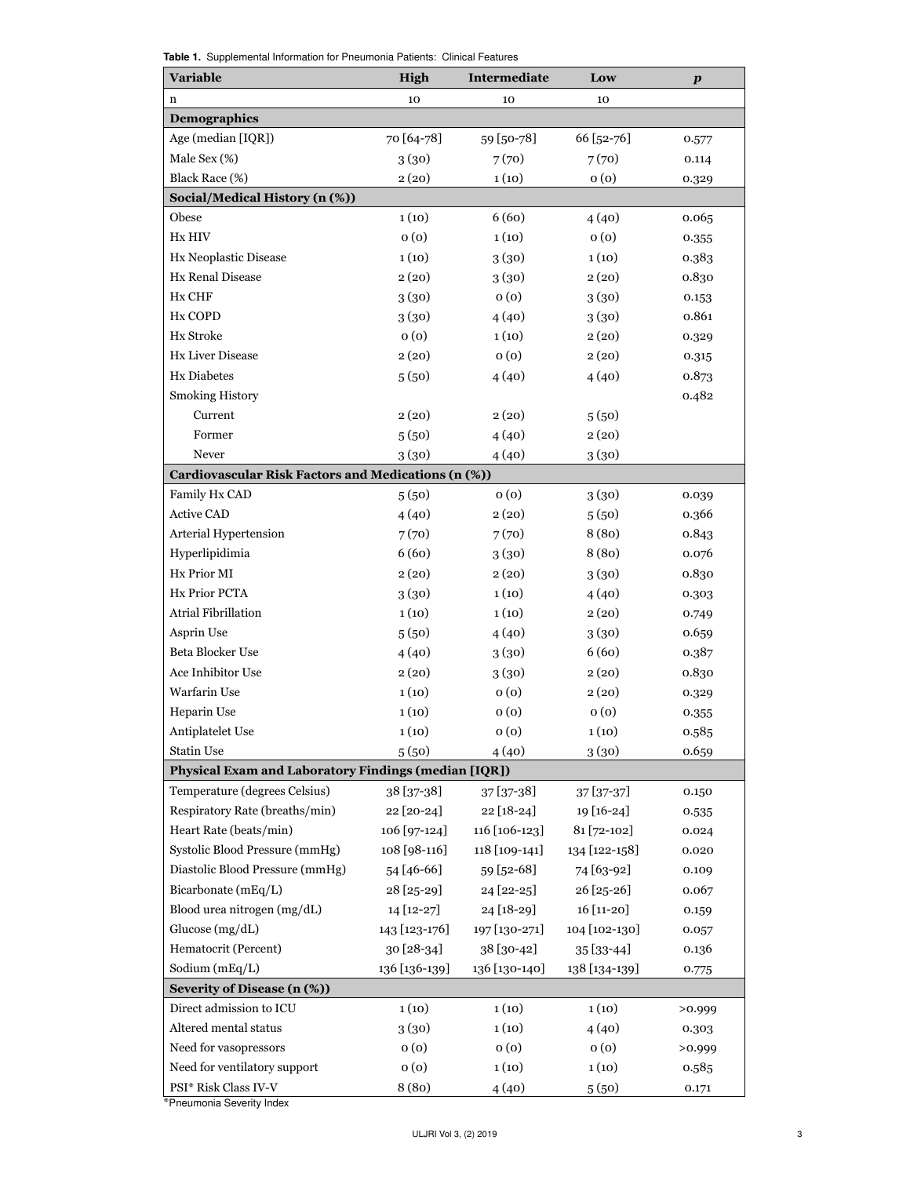| <b>Variable</b>                                      | <b>High</b>   | Intermediate   | Low           | $\boldsymbol{p}$ |
|------------------------------------------------------|---------------|----------------|---------------|------------------|
| $\mathbf n$                                          | 10            | 10             | 10            |                  |
| Demographics                                         |               |                |               |                  |
| Age (median [IQR])                                   | 70 [64-78]    | 59 [50-78]     | 66 [52-76]    | 0.577            |
| Male Sex (%)                                         | 3(30)         | 7(70)          | 7(70)         | 0.114            |
| Black Race (%)                                       | 2(20)         | 1(10)          | 0(0)          | 0.329            |
| Social/Medical History (n (%))                       |               |                |               |                  |
| Obese                                                | 1(10)         | 6(60)          | 4(40)         | 0.065            |
| Hx HIV                                               | 0(0)          | 1(10)          | 0(0)          | 0.355            |
| Hx Neoplastic Disease                                | 1(10)         | 3(30)          | 1(10)         | 0.383            |
| Hx Renal Disease                                     | 2(20)         | 3(30)          | 2(20)         | 0.830            |
| Hx CHF                                               | 3(30)         | 0(0)           | 3(30)         | 0.153            |
| Hx COPD                                              | 3(30)         | 4(40)          | 3(30)         | 0.861            |
| Hx Stroke                                            | 0(0)          | 1(10)          | 2(20)         | 0.329            |
| <b>Hx Liver Disease</b>                              | 2(20)         | 0(0)           | 2(20)         | 0.315            |
| <b>Hx Diabetes</b>                                   | 5(50)         | 4(40)          | 4(40)         | 0.873            |
| <b>Smoking History</b>                               |               |                |               | 0.482            |
| Current                                              | 2(20)         | 2(20)          | 5(50)         |                  |
| Former                                               | 5(50)         | 4(40)          | 2(20)         |                  |
| Never                                                | 3(30)         | 4(40)          | 3(30)         |                  |
| Cardiovascular Risk Factors and Medications (n (%))  |               |                |               |                  |
| Family Hx CAD                                        | 5(50)         | 0(0)           | 3(30)         | 0.039            |
| <b>Active CAD</b>                                    | 4(40)         | 2(20)          | 5(50)         | 0.366            |
| Arterial Hypertension                                | 7(70)         | 7(70)          | 8(80)         | 0.843            |
| Hyperlipidimia                                       | 6(60)         | 3(30)          | 8(80)         | 0.076            |
| Hx Prior MI                                          | 2(20)         | 2(20)          | 3(30)         | 0.830            |
| Hx Prior PCTA                                        | 3(30)         | 1(10)          | 4(40)         | 0.303            |
| Atrial Fibrillation                                  | 1(10)         | 1(10)          | 2(20)         | 0.749            |
| Asprin Use                                           | 5(50)         | 4(40)          | 3(30)         | 0.659            |
| Beta Blocker Use                                     | 4(40)         | 3(30)          | 6(60)         | 0.387            |
| Ace Inhibitor Use                                    | 2(20)         | 3(30)          | 2(20)         | 0.830            |
| Warfarin Use                                         | 1(10)         | 0(0)           | 2(20)         | 0.329            |
| Heparin Use                                          | 1(10)         | 0(0)           | 0(0)          | 0.355            |
| Antiplatelet Use                                     | 1(10)         | 0(0)           | 1(10)         | 0.585            |
| <b>Statin Use</b>                                    | 5(50)         | 4(40)          | 3(30)         | 0.659            |
| Physical Exam and Laboratory Findings (median [IQR]) |               |                |               |                  |
| Temperature (degrees Celsius)                        | 38 [37-38]    | 37 [37-38]     | 37 [37-37]    | 0.150            |
| Respiratory Rate (breaths/min)                       | 22 [20-24]    | 22 [18-24]     | 19 [16-24]    | 0.535            |
| Heart Rate (beats/min)                               | 106 [97-124]  | 116 [106-123]  | 81 [72-102]   | 0.024            |
| Systolic Blood Pressure (mmHg)                       | 108 [98-116]  | 118 [109-141]  | 134 [122-158] | 0.020            |
| Diastolic Blood Pressure (mmHg)                      | 54 [46-66]    | 59 [52-68]     | 74 [63-92]    | 0.109            |
| Bicarbonate (mEq/L)                                  | $28$ [25-29]  | $24 [22 - 25]$ | 26 [25-26]    | 0.067            |
| Blood urea nitrogen (mg/dL)                          | 14 [12-27]    | 24 [18-29]     | 16 [11-20]    | 0.159            |
| Glucose (mg/dL)                                      | 143 [123-176] | 197 [130-271]  | 104 [102-130] | 0.057            |
| Hematocrit (Percent)                                 | 30 [28-34]    | 38 [30-42]     | 35 [33-44]    | 0.136            |
| Sodium (mEq/L)                                       | 136 [136-139] | 136 [130-140]  | 138 [134-139] | 0.775            |
| Severity of Disease (n (%))                          |               |                |               |                  |
| Direct admission to ICU                              | 1(10)         | 1(10)          | 1(10)         | >0.999           |
| Altered mental status                                | 3(30)         | 1(10)          | 4(40)         | 0.303            |
| Need for vasopressors                                | 0(0)          | 0(0)           | 0(0)          | >0.999           |

Table 1. Supplemental Information for Pneumonia Patients: Clinical Features

\*Pneumonia Severity Index

Need for ventilatory support  $0 (0)$   $1 (10)$   $1 (10)$   $0.585$ PSI\* Risk Class IV-V 8 (80) 4 (40) 5 (50) 0.171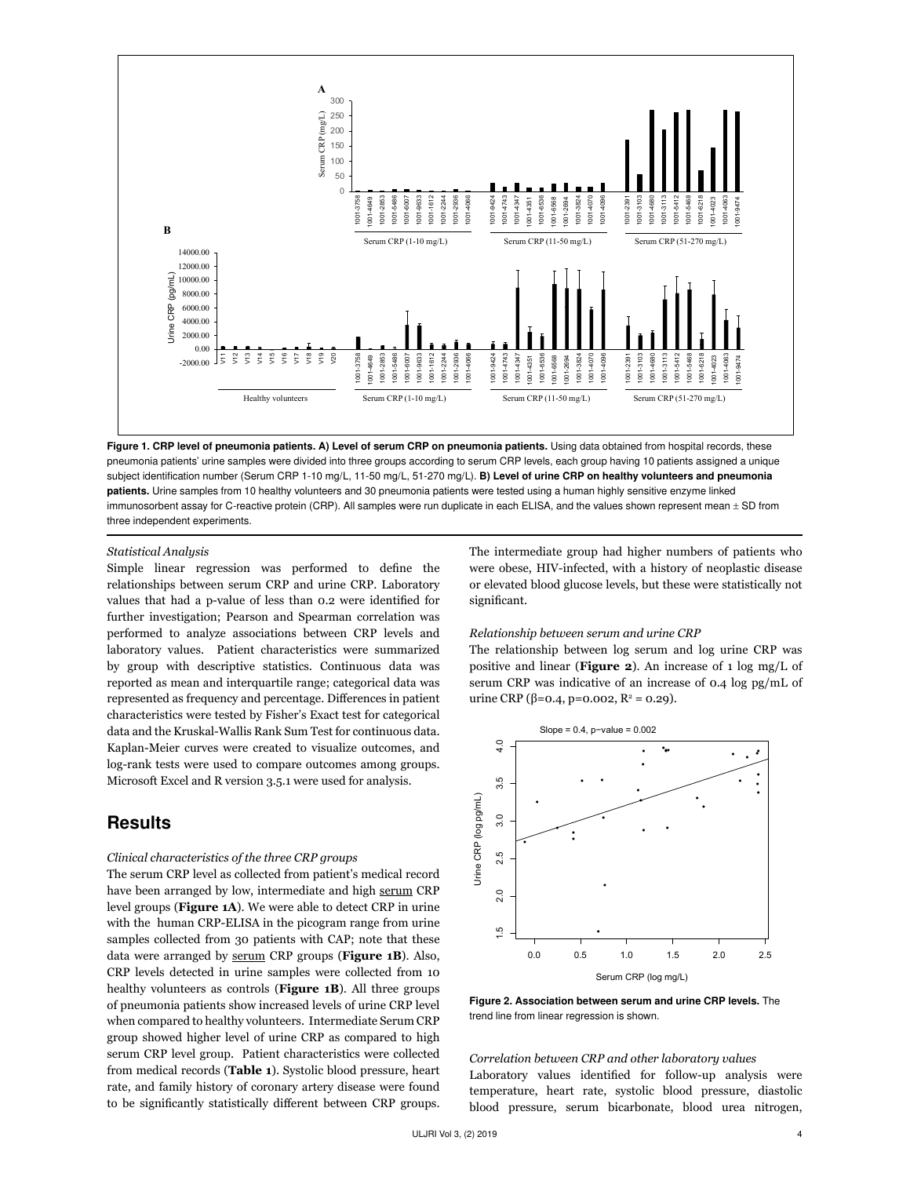

Figure 1. CRP level of pneumonia patients. A) Level of serum CRP on pneumonia patients. Using data obtained from hospital records, these pneumonia patients' urine samples were divided into three groups according to serum CRP levels, each group having 10 patients assigned a unique subject identification number (Serum CRP 1-10 mg/L, 11-50 mg/L, 51-270 mg/L). B) Level of urine CRP on healthy volunteers and pneumonia patients. Urine samples from 10 healthy volunteers and 30 pneumonia patients were tested using a human highly sensitive enzyme linked immunosorbent assay for C-reactive protein (CRP). All samples were run duplicate in each ELISA, and the values shown represent mean ± SD from three independent experiments.

*Statistical Analysis* 

Simple linear regression was performed to define the relationships between serum CRP and urine CRP. Laboratory values that had a p-value of less than 0.2 were identified for further investigation; Pearson and Spearman correlation was performed to analyze associations between CRP levels and laboratory values. Patient characteristics were summarized by group with descriptive statistics. Continuous data was reported as mean and interquartile range; categorical data was represented as frequency and percentage. Differences in patient characteristics were tested by Fisher's Exact test for categorical data and the Kruskal-Wallis Rank Sum Test for continuous data. Kaplan-Meier curves were created to visualize outcomes, and log-rank tests were used to compare outcomes among groups. Microsoft Excel and R version 3.5.1 were used for analysis.

### **Results**

#### *Clinical characteristics of the three CRP groups*

The serum CRP level as collected from patient's medical record have been arranged by low, intermediate and high serum CRP level groups (**Figure 1A**). We were able to detect CRP in urine with the human CRP-ELISA in the picogram range from urine samples collected from 30 patients with CAP; note that these data were arranged by serum CRP groups (**Figure 1B**). Also, CRP levels detected in urine samples were collected from 10 healthy volunteers as controls (**Figure 1B**). All three groups of pneumonia patients show increased levels of urine CRP level when compared to healthy volunteers. Intermediate Serum CRP group showed higher level of urine CRP as compared to high serum CRP level group. Patient characteristics were collected from medical records (**Table 1**). Systolic blood pressure, heart rate, and family history of coronary artery disease were found to be significantly statistically different between CRP groups.

The intermediate group had higher numbers of patients who were obese, HIV-infected, with a history of neoplastic disease or elevated blood glucose levels, but these were statistically not significant.

#### *Relationship between serum and urine CRP*

The relationship between log serum and log urine CRP was positive and linear (**Figure 2**). An increase of 1 log mg/L of serum CRP was indicative of an increase of 0.4 log pg/mL of urine CRP (β=0.4, p=0.002, R<sup>2</sup> = 0.29).



Figure 2. Association between serum and urine CRP levels. The trend line from linear regression is shown.

*Correlation between CRP and other laboratory values* Laboratory values identified for follow-up analysis were temperature, heart rate, systolic blood pressure, diastolic blood pressure, serum bicarbonate, blood urea nitrogen,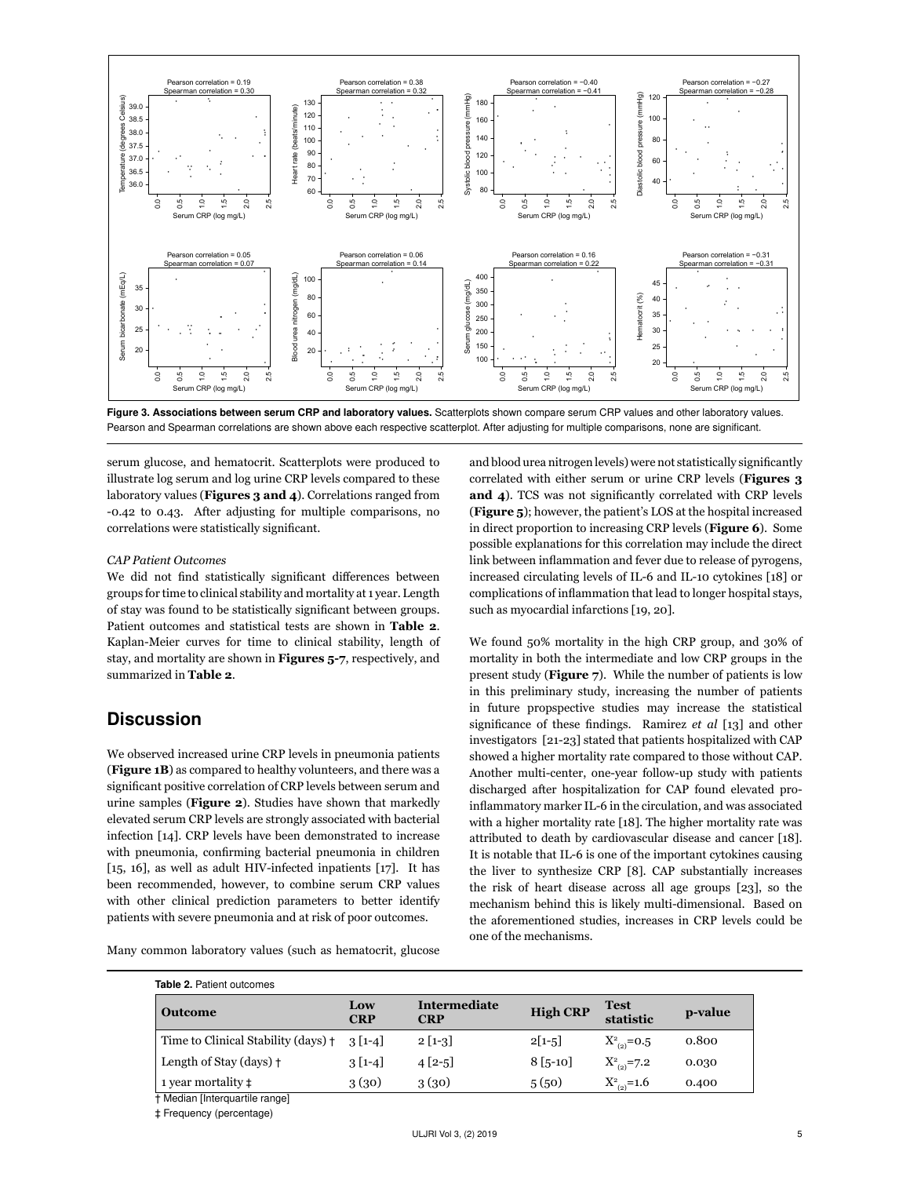

Figure 3. Associations between serum CRP and laboratory values. Scatterplots shown compare serum CRP values and other laboratory values. Pearson and Spearman correlations are shown above each respective scatterplot. After adjusting for multiple comparisons, none are significant.

serum glucose, and hematocrit. Scatterplots were produced to illustrate log serum and log urine CRP levels compared to these laboratory values (**Figures 3 and 4**). Correlations ranged from -0.42 to 0.43. After adjusting for multiple comparisons, no correlations were statistically significant.

#### *CAP Patient Outcomes*

We did not find statistically significant differences between groups for time to clinical stability and mortality at 1 year. Length of stay was found to be statistically significant between groups. Patient outcomes and statistical tests are shown in **Table 2**. Kaplan-Meier curves for time to clinical stability, length of stay, and mortality are shown in **Figures 5-7**, respectively, and summarized in **Table 2**.

### **Discussion**

We observed increased urine CRP levels in pneumonia patients (**Figure 1B**) as compared to healthy volunteers, and there was a significant positive correlation of CRP levels between serum and urine samples (**Figure 2**). Studies have shown that markedly elevated serum CRP levels are strongly associated with bacterial infection [14]. CRP levels have been demonstrated to increase with pneumonia, confirming bacterial pneumonia in children [15, 16], as well as adult HIV-infected inpatients [17]. It has been recommended, however, to combine serum CRP values with other clinical prediction parameters to better identify patients with severe pneumonia and at risk of poor outcomes.

Many common laboratory values (such as hematocrit, glucose

and blood urea nitrogen levels) were not statistically significantly correlated with either serum or urine CRP levels (**Figures 3 and 4**). TCS was not significantly correlated with CRP levels (**Figure 5**); however, the patient's LOS at the hospital increased in direct proportion to increasing CRP levels (**Figure 6**). Some possible explanations for this correlation may include the direct link between inflammation and fever due to release of pyrogens, increased circulating levels of IL-6 and IL-10 cytokines [18] or complications of inflammation that lead to longer hospital stays, such as myocardial infarctions [19, 20].

We found 50% mortality in the high CRP group, and 30% of mortality in both the intermediate and low CRP groups in the present study (**Figure 7**). While the number of patients is low in this preliminary study, increasing the number of patients in future propspective studies may increase the statistical significance of these findings. Ramirez *et al* [13] and other investigators [21-23] stated that patients hospitalized with CAP showed a higher mortality rate compared to those without CAP. Another multi-center, one-year follow-up study with patients discharged after hospitalization for CAP found elevated proinflammatory marker IL-6 in the circulation, and was associated with a higher mortality rate [18]. The higher mortality rate was attributed to death by cardiovascular disease and cancer [18]. It is notable that IL-6 is one of the important cytokines causing the liver to synthesize CRP [8]. CAP substantially increases the risk of heart disease across all age groups [23], so the mechanism behind this is likely multi-dimensional. Based on the aforementioned studies, increases in CRP levels could be one of the mechanisms.

| <b>Table 2. Patient outcomes</b>    |                   |                            |                 |                          |         |
|-------------------------------------|-------------------|----------------------------|-----------------|--------------------------|---------|
| <b>Outcome</b>                      | Low<br><b>CRP</b> | Intermediate<br><b>CRP</b> | <b>High CRP</b> | <b>Test</b><br>statistic | p-value |
| Time to Clinical Stability (days) + | $3[1-4]$          | $2\left[1-3\right]$        | $2[1-5]$        | $X_{(2)}^2$ =0.5         | 0.800   |
| Length of Stay (days) +             | $3[1-4]$          | $4[2-5]$                   | $8\,[\,5-10]$   | $X_{(2)}^2$ =7.2         | 0.030   |
| 1 year mortality $\ddagger$         | 3(30)             | 3(30)                      | 5(50)           | $X_{(2)}^2=1.6$          | 0.400   |
| † Median [Interquartile range]      |                   |                            |                 |                          |         |

‡ Frequency (percentage)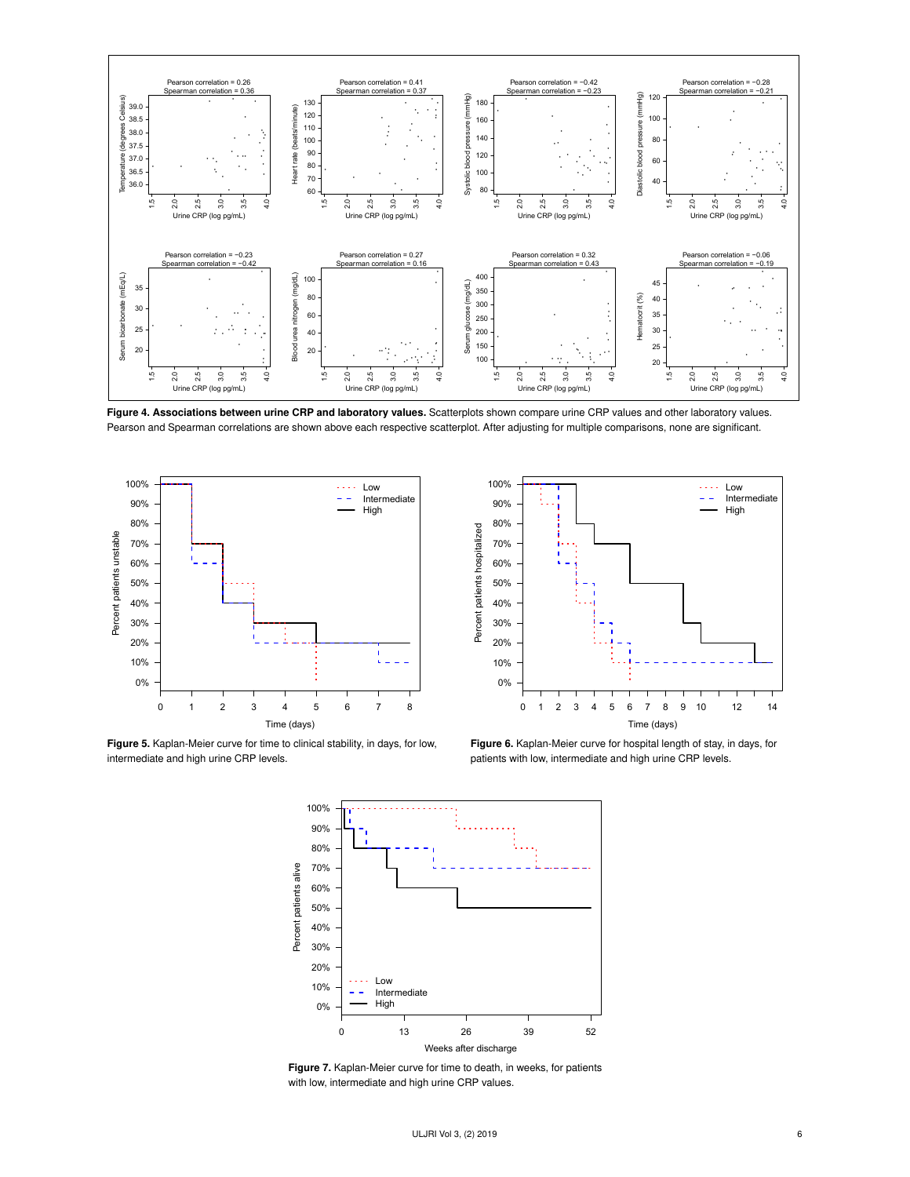

Figure 4. Associations between urine CRP and laboratory values. Scatterplots shown compare urine CRP values and other laboratory values. Pearson and Spearman correlations are shown above each respective scatterplot. After adjusting for multiple comparisons, none are significant.



Figure 5. Kaplan-Meier curve for time to clinical stability, in days, for low, intermediate and high urine CRP levels.



Figure 6. Kaplan-Meier curve for hospital length of stay, in days, for patients with low, intermediate and high urine CRP levels.



Figure 7. Kaplan-Meier curve for time to death, in weeks, for patients with low, intermediate and high urine CRP values.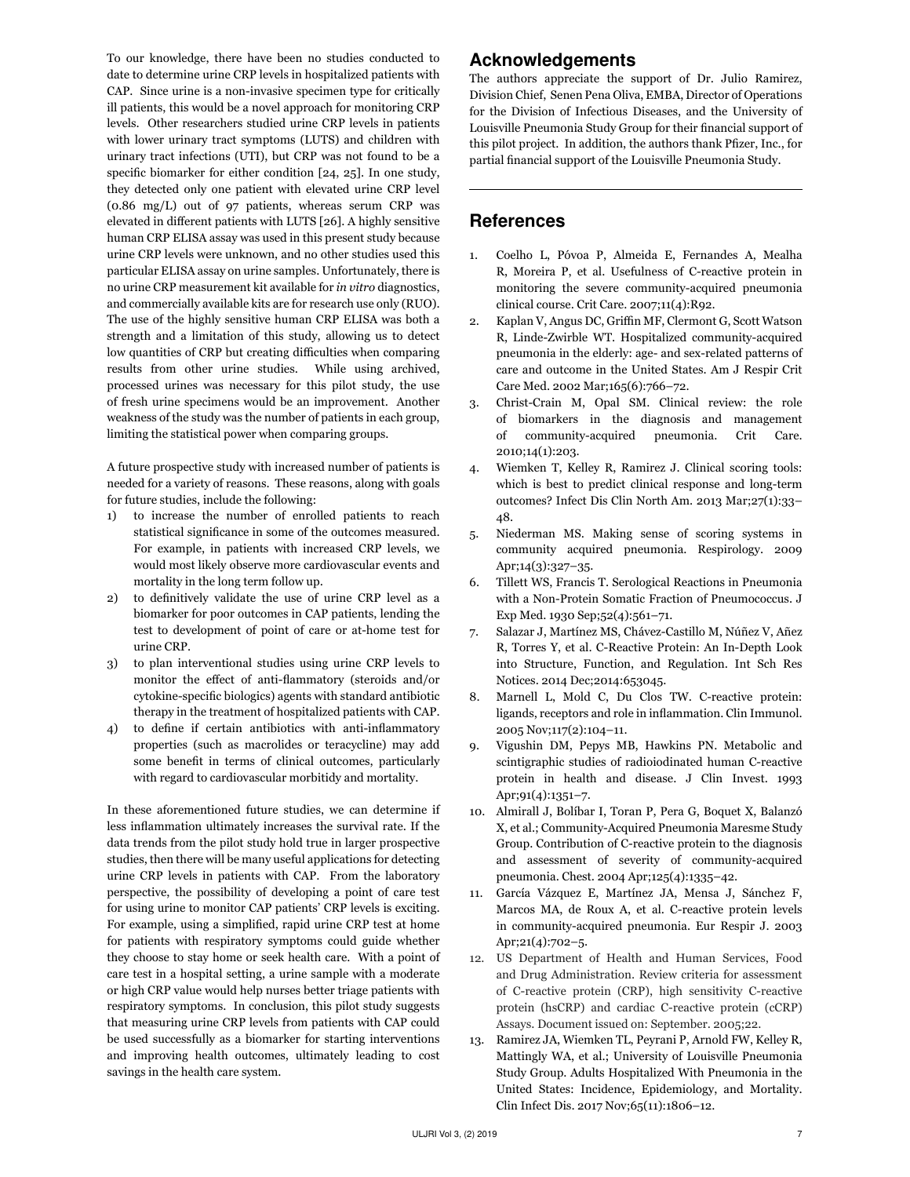To our knowledge, there have been no studies conducted to date to determine urine CRP levels in hospitalized patients with CAP. Since urine is a non-invasive specimen type for critically ill patients, this would be a novel approach for monitoring CRP levels. Other researchers studied urine CRP levels in patients with lower urinary tract symptoms (LUTS) and children with urinary tract infections (UTI), but CRP was not found to be a specific biomarker for either condition [24, 25]. In one study, they detected only one patient with elevated urine CRP level (0.86 mg/L) out of 97 patients, whereas serum CRP was elevated in different patients with LUTS [26]. A highly sensitive human CRP ELISA assay was used in this present study because urine CRP levels were unknown, and no other studies used this particular ELISA assay on urine samples. Unfortunately, there is no urine CRP measurement kit available for *in vitro* diagnostics, and commercially available kits are for research use only (RUO). The use of the highly sensitive human CRP ELISA was both a strength and a limitation of this study, allowing us to detect low quantities of CRP but creating difficulties when comparing results from other urine studies. While using archived, processed urines was necessary for this pilot study, the use of fresh urine specimens would be an improvement. Another weakness of the study was the number of patients in each group, limiting the statistical power when comparing groups.

A future prospective study with increased number of patients is needed for a variety of reasons. These reasons, along with goals for future studies, include the following:

- 1) to increase the number of enrolled patients to reach statistical significance in some of the outcomes measured. For example, in patients with increased CRP levels, we would most likely observe more cardiovascular events and mortality in the long term follow up.
- 2) to definitively validate the use of urine CRP level as a biomarker for poor outcomes in CAP patients, lending the test to development of point of care or at-home test for urine CRP.
- 3) to plan interventional studies using urine CRP levels to monitor the effect of anti-flammatory (steroids and/or cytokine-specific biologics) agents with standard antibiotic therapy in the treatment of hospitalized patients with CAP.
- 4) to define if certain antibiotics with anti-inflammatory properties (such as macrolides or teracycline) may add some benefit in terms of clinical outcomes, particularly with regard to cardiovascular morbitidy and mortality.

In these aforementioned future studies, we can determine if less inflammation ultimately increases the survival rate. If the data trends from the pilot study hold true in larger prospective studies, then there will be many useful applications for detecting urine CRP levels in patients with CAP. From the laboratory perspective, the possibility of developing a point of care test for using urine to monitor CAP patients' CRP levels is exciting. For example, using a simplified, rapid urine CRP test at home for patients with respiratory symptoms could guide whether they choose to stay home or seek health care. With a point of care test in a hospital setting, a urine sample with a moderate or high CRP value would help nurses better triage patients with respiratory symptoms. In conclusion, this pilot study suggests that measuring urine CRP levels from patients with CAP could be used successfully as a biomarker for starting interventions and improving health outcomes, ultimately leading to cost savings in the health care system.

### Acknowledgements

The authors appreciate the support of Dr. Julio Ramirez, Division Chief, Senen Pena Oliva, EMBA, Director of Operations for the Division of Infectious Diseases, and the University of Louisville Pneumonia Study Group for their financial support of this pilot project. In addition, the authors thank Pfizer, Inc., for partial financial support of the Louisville Pneumonia Study.

### References

- 1. Coelho L, Póvoa P, Almeida E, Fernandes A, Mealha R, Moreira P, et al. Usefulness of C-reactive protein in monitoring the severe community-acquired pneumonia clinical course. Crit Care. 2007;11(4):R92.
- 2. Kaplan V, Angus DC, Griffin MF, Clermont G, Scott Watson R, Linde-Zwirble WT. Hospitalized community-acquired pneumonia in the elderly: age- and sex-related patterns of care and outcome in the United States. Am J Respir Crit Care Med. 2002 Mar;165(6):766–72.
- 3. Christ-Crain M, Opal SM. Clinical review: the role of biomarkers in the diagnosis and management of community-acquired pneumonia. Crit Care. 2010;14(1):203.
- 4. Wiemken T, Kelley R, Ramirez J. Clinical scoring tools: which is best to predict clinical response and long-term outcomes? Infect Dis Clin North Am. 2013 Mar;27(1):33– 48.
- 5. Niederman MS. Making sense of scoring systems in community acquired pneumonia. Respirology. 2009 Apr;14(3):327–35.
- 6. Tillett WS, Francis T. Serological Reactions in Pneumonia with a Non-Protein Somatic Fraction of Pneumococcus. J Exp Med. 1930 Sep;52(4):561–71.
- 7. Salazar J, Martínez MS, Chávez-Castillo M, Núñez V, Añez R, Torres Y, et al. C-Reactive Protein: An In-Depth Look into Structure, Function, and Regulation. Int Sch Res Notices. 2014 Dec;2014:653045.
- 8. Marnell L, Mold C, Du Clos TW. C-reactive protein: ligands, receptors and role in inflammation. Clin Immunol. 2005 Nov;117(2):104–11.
- 9. Vigushin DM, Pepys MB, Hawkins PN. Metabolic and scintigraphic studies of radioiodinated human C-reactive protein in health and disease. J Clin Invest. 1993 Apr;91(4):1351–7.
- 10. Almirall J, Bolíbar I, Toran P, Pera G, Boquet X, Balanzó X, et al.; Community-Acquired Pneumonia Maresme Study Group. Contribution of C-reactive protein to the diagnosis and assessment of severity of community-acquired pneumonia. Chest. 2004 Apr;125(4):1335–42.
- 11. García Vázquez E, Martínez JA, Mensa J, Sánchez F, Marcos MA, de Roux A, et al. C-reactive protein levels in community-acquired pneumonia. Eur Respir J. 2003 Apr;21(4):702–5.
- 12. US Department of Health and Human Services, Food and Drug Administration. Review criteria for assessment of C-reactive protein (CRP), high sensitivity C-reactive protein (hsCRP) and cardiac C-reactive protein (cCRP) Assays. Document issued on: September. 2005;22.
- 13. Ramirez JA, Wiemken TL, Peyrani P, Arnold FW, Kelley R, Mattingly WA, et al.; University of Louisville Pneumonia Study Group. Adults Hospitalized With Pneumonia in the United States: Incidence, Epidemiology, and Mortality. Clin Infect Dis. 2017 Nov;65(11):1806–12.